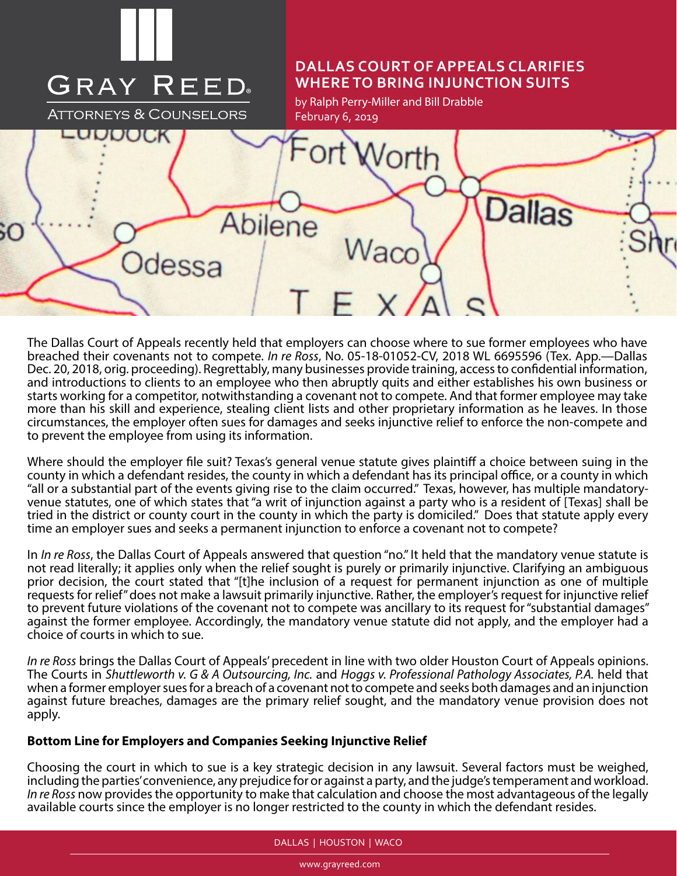

The Dallas Court of Appeals recently held that employers can choose where to sue former employees who have breached their covenants not to compete. *In re Ross*, No. 05-18-01052-CV, 2018 WL 6695596 (Tex. App.—Dallas Dec. 20, 2018, orig. proceeding). Regrettably, many businesses provide training, access to confidential information, and introductions to clients to an employee who then abruptly quits and either establishes his own business or starts working for a competitor, notwithstanding a covenant not to compete. And that former employee may take more than his skill and experience, stealing client lists and other proprietary information as he leaves. In those circumstances, the employer often sues for damages and seeks injunctive relief to enforce the non-compete and to prevent the employee from using its information.

Where should the employer file suit? Texas's general venue statute gives plaintiff a choice between suing in the county in which a defendant resides, the county in which a defendant has its principal office, or a county in which "all or a substantial part of the events giving rise to the claim occurred." Texas, however, has multiple mandatoryvenue statutes, one of which states that "a writ of injunction against a party who is a resident of [Texas] shall be tried in the district or county court in the county in which the party is domiciled." Does that statute apply every time an employer sues and seeks a permanent injunction to enforce a covenant not to compete?

In *In re Ross*, the Dallas Court of Appeals answered that question "no." It held that the mandatory venue statute is not read literally; it applies only when the relief sought is purely or primarily injunctive. Clarifying an ambiguous prior decision, the court stated that "[t]he inclusion of a request for permanent injunction as one of multiple requests for relief" does not make a lawsuit primarily injunctive. Rather, the employer's request for injunctive relief to prevent future violations of the covenant not to compete was ancillary to its request for "substantial damages" against the former employee. Accordingly, the mandatory venue statute did not apply, and the employer had a choice of courts in which to sue.

*In re Ross* brings the Dallas Court of Appeals' precedent in line with two older Houston Court of Appeals opinions. The Courts in *Shuttleworth v. G & A Outsourcing, Inc.* and *Hoggs v. Professional Pathology Associates, P.A.* held that when a former employer sues for a breach of a covenant not to compete and seeks both damages and an injunction against future breaches, damages are the primary relief sought, and the mandatory venue provision does not apply.

## **Bottom Line for Employers and Companies Seeking Injunctive Relief**

Choosing the court in which to sue is a key strategic decision in any lawsuit. Several factors must be weighed, including the parties' convenience, any prejudice for or against a party, and the judge's temperament and workload. *In re Ross* now provides the opportunity to make that calculation and choose the most advantageous of the legally available courts since the employer is no longer restricted to the county in which the defendant resides.

#### DALLAS | HOUSTON | WACO

www.grayreed.com